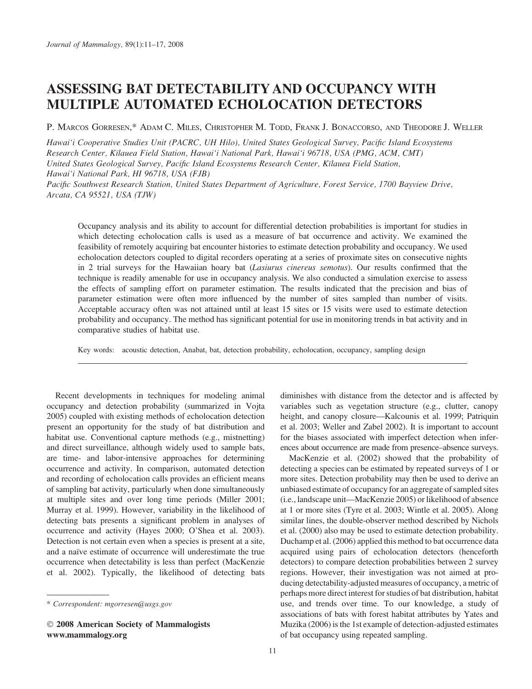# ASSESSING BAT DETECTABILITY AND OCCUPANCY WITH MULTIPLE AUTOMATED ECHOLOCATION DETECTORS

P. MARCOS GORRESEN,\* ADAM C. MILES, CHRISTOPHER M. TODD, FRANK J. BONACCORSO, AND THEODORE J. WELLER

Hawai'i Cooperative Studies Unit (PACRC, UH Hilo), United States Geological Survey, Pacific Island Ecosystems Research Center, Kīlauea Field Station, Hawai'i National Park, Hawai'i 96718, USA (PMG, ACM, CMT) United States Geological Survey, Pacific Island Ecosystems Research Center, Kīlauea Field Station, Hawai'i National Park, HI 96718, USA (FJB)

Pacific Southwest Research Station, United States Department of Agriculture, Forest Service, 1700 Bayview Drive, Arcata, CA 95521, USA (TJW)

Occupancy analysis and its ability to account for differential detection probabilities is important for studies in which detecting echolocation calls is used as a measure of bat occurrence and activity. We examined the feasibility of remotely acquiring bat encounter histories to estimate detection probability and occupancy. We used echolocation detectors coupled to digital recorders operating at a series of proximate sites on consecutive nights in 2 trial surveys for the Hawaiian hoary bat (Lasiurus cinereus semotus). Our results confirmed that the technique is readily amenable for use in occupancy analysis. We also conducted a simulation exercise to assess the effects of sampling effort on parameter estimation. The results indicated that the precision and bias of parameter estimation were often more influenced by the number of sites sampled than number of visits. Acceptable accuracy often was not attained until at least 15 sites or 15 visits were used to estimate detection probability and occupancy. The method has significant potential for use in monitoring trends in bat activity and in comparative studies of habitat use.

Key words: acoustic detection, Anabat, bat, detection probability, echolocation, occupancy, sampling design

Recent developments in techniques for modeling animal occupancy and detection probability (summarized in Vojta 2005) coupled with existing methods of echolocation detection present an opportunity for the study of bat distribution and habitat use. Conventional capture methods (e.g., mistnetting) and direct surveillance, although widely used to sample bats, are time- and labor-intensive approaches for determining occurrence and activity. In comparison, automated detection and recording of echolocation calls provides an efficient means of sampling bat activity, particularly when done simultaneously at multiple sites and over long time periods (Miller 2001; Murray et al. 1999). However, variability in the likelihood of detecting bats presents a significant problem in analyses of occurrence and activity (Hayes 2000; O'Shea et al. 2003). Detection is not certain even when a species is present at a site, and a naïve estimate of occurrence will underestimate the true occurrence when detectability is less than perfect (MacKenzie et al. 2002). Typically, the likelihood of detecting bats

- 2008 American Society of Mammalogists www.mammalogy.org

diminishes with distance from the detector and is affected by variables such as vegetation structure (e.g., clutter, canopy height, and canopy closure—Kalcounis et al. 1999; Patriquin et al. 2003; Weller and Zabel 2002). It is important to account for the biases associated with imperfect detection when inferences about occurrence are made from presence–absence surveys.

MacKenzie et al. (2002) showed that the probability of detecting a species can be estimated by repeated surveys of 1 or more sites. Detection probability may then be used to derive an unbiased estimate of occupancy for an aggregate of sampled sites (i.e., landscape unit—MacKenzie 2005) or likelihood of absence at 1 or more sites (Tyre et al. 2003; Wintle et al. 2005). Along similar lines, the double-observer method described by Nichols et al. (2000) also may be used to estimate detection probability. Duchamp et al. (2006) applied this method to bat occurrence data acquired using pairs of echolocation detectors (henceforth detectors) to compare detection probabilities between 2 survey regions. However, their investigation was not aimed at producing detectability-adjusted measures of occupancy, a metric of perhaps more direct interest for studies of bat distribution, habitat use, and trends over time. To our knowledge, a study of associations of bats with forest habitat attributes by Yates and Muzika (2006) is the 1st example of detection-adjusted estimates of bat occupancy using repeated sampling.

<sup>\*</sup> Correspondent: mgorresen@usgs.gov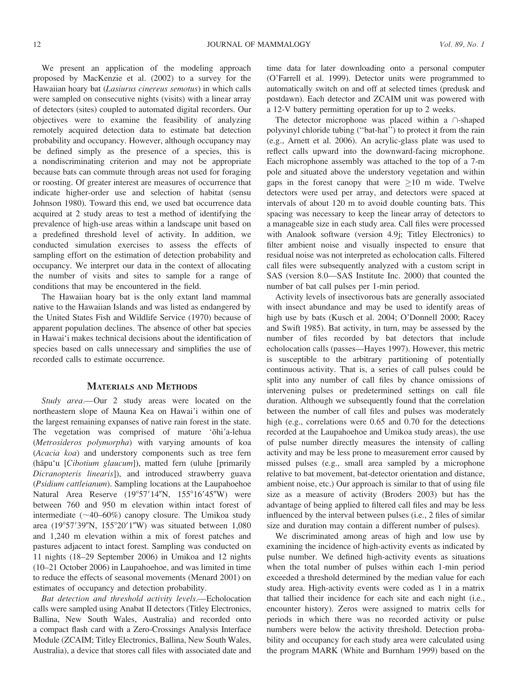We present an application of the modeling approach proposed by MacKenzie et al. (2002) to a survey for the Hawaiian hoary bat (Lasiurus cinereus semotus) in which calls were sampled on consecutive nights (visits) with a linear array of detectors (sites) coupled to automated digital recorders. Our objectives were to examine the feasibility of analyzing remotely acquired detection data to estimate bat detection probability and occupancy. However, although occupancy may be defined simply as the presence of a species, this is a nondiscriminating criterion and may not be appropriate because bats can commute through areas not used for foraging or roosting. Of greater interest are measures of occurrence that indicate higher-order use and selection of habitat (sensu Johnson 1980). Toward this end, we used bat occurrence data acquired at 2 study areas to test a method of identifying the prevalence of high-use areas within a landscape unit based on a predefined threshold level of activity. In addition, we conducted simulation exercises to assess the effects of sampling effort on the estimation of detection probability and occupancy. We interpret our data in the context of allocating the number of visits and sites to sample for a range of conditions that may be encountered in the field.

The Hawaiian hoary bat is the only extant land mammal native to the Hawaiian Islands and was listed as endangered by the United States Fish and Wildlife Service (1970) because of apparent population declines. The absence of other bat species in Hawai'i makes technical decisions about the identification of species based on calls unnecessary and simplifies the use of recorded calls to estimate occurrence.

## MATERIALS AND METHODS

Study area.—Our 2 study areas were located on the northeastern slope of Mauna Kea on Hawai'i within one of the largest remaining expanses of native rain forest in the state. The vegetation was comprised of mature 'ōhi'a-lehua (Metrosideros polymorpha) with varying amounts of koa (Acacia koa) and understory components such as tree fern (hāpu'u [Cibotium glaucum]), matted fern (uluhe [primarily Dicranopteris linearis]), and introduced strawberry guava (Psidium cattleianum). Sampling locations at the Laupahoehoe Natural Area Reserve  $(19^{\circ}57'14''N, 155^{\circ}16'45''W)$  were between 760 and 950 m elevation within intact forest of intermediate  $(\sim40-60\%)$  canopy closure. The Umikoa study area (19°57'39"N, 155°20'1"W) was situated between  $1,080$ and 1,240 m elevation within a mix of forest patches and pastures adjacent to intact forest. Sampling was conducted on 11 nights (18–29 September 2006) in Umikoa and 12 nights (10–21 October 2006) in Laupahoehoe, and was limited in time to reduce the effects of seasonal movements (Menard 2001) on estimates of occupancy and detection probability.

Bat detection and threshold activity levels.—Echolocation calls were sampled using Anabat II detectors (Titley Electronics, Ballina, New South Wales, Australia) and recorded onto a compact flash card with a Zero-Crossings Analysis Interface Module (ZCAIM; Titley Electronics, Ballina, New South Wales, Australia), a device that stores call files with associated date and time data for later downloading onto a personal computer (O'Farrell et al. 1999). Detector units were programmed to automatically switch on and off at selected times (predusk and postdawn). Each detector and ZCAIM unit was powered with a 12-V battery permitting operation for up to 2 weeks.

The detector microphone was placed within a  $\cap$ -shaped polyvinyl chloride tubing (''bat-hat'') to protect it from the rain (e.g., Arnett et al. 2006). An acrylic-glass plate was used to reflect calls upward into the downward-facing microphone. Each microphone assembly was attached to the top of a 7-m pole and situated above the understory vegetation and within gaps in the forest canopy that were  $\geq 10$  m wide. Twelve detectors were used per array, and detectors were spaced at intervals of about 120 m to avoid double counting bats. This spacing was necessary to keep the linear array of detectors to a manageable size in each study area. Call files were processed with Analook software (version 4.9j; Titley Electronics) to filter ambient noise and visually inspected to ensure that residual noise was not interpreted as echolocation calls. Filtered call files were subsequently analyzed with a custom script in SAS (version 8.0—SAS Institute Inc. 2000) that counted the number of bat call pulses per 1-min period.

Activity levels of insectivorous bats are generally associated with insect abundance and may be used to identify areas of high use by bats (Kusch et al. 2004; O'Donnell 2000; Racey and Swift 1985). Bat activity, in turn, may be assessed by the number of files recorded by bat detectors that include echolocation calls (passes—Hayes 1997). However, this metric is susceptible to the arbitrary partitioning of potentially continuous activity. That is, a series of call pulses could be split into any number of call files by chance omissions of intervening pulses or predetermined settings on call file duration. Although we subsequently found that the correlation between the number of call files and pulses was moderately high (e.g., correlations were 0.65 and 0.70 for the detections recorded at the Laupahoehoe and Umikoa study areas), the use of pulse number directly measures the intensity of calling activity and may be less prone to measurement error caused by missed pulses (e.g., small area sampled by a microphone relative to bat movement, bat-detector orientation and distance, ambient noise, etc.) Our approach is similar to that of using file size as a measure of activity (Broders 2003) but has the advantage of being applied to filtered call files and may be less influenced by the interval between pulses (i.e., 2 files of similar size and duration may contain a different number of pulses).

We discriminated among areas of high and low use by examining the incidence of high-activity events as indicated by pulse number. We defined high-activity events as situations when the total number of pulses within each 1-min period exceeded a threshold determined by the median value for each study area. High-activity events were coded as 1 in a matrix that tallied their incidence for each site and each night (i.e., encounter history). Zeros were assigned to matrix cells for periods in which there was no recorded activity or pulse numbers were below the activity threshold. Detection probability and occupancy for each study area were calculated using the program MARK (White and Burnham 1999) based on the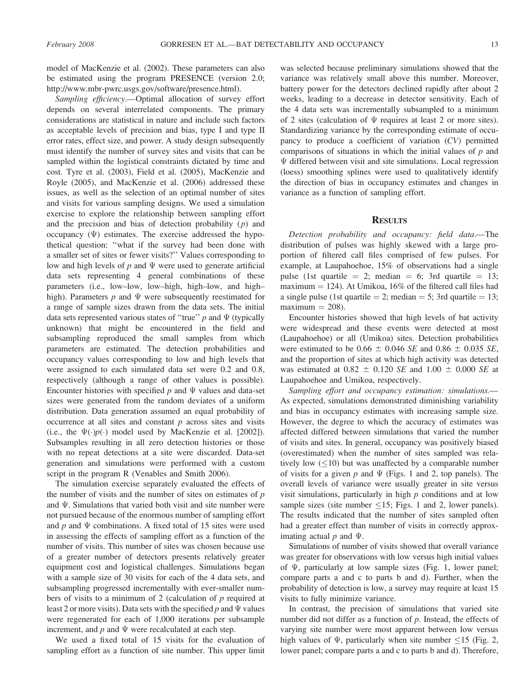model of MacKenzie et al. (2002). These parameters can also be estimated using the program PRESENCE (version 2.0; http://www.mbr-pwrc.usgs.gov/software/presence.html).

Sampling efficiency.—Optimal allocation of survey effort depends on several interrelated components. The primary considerations are statistical in nature and include such factors as acceptable levels of precision and bias, type I and type II error rates, effect size, and power. A study design subsequently must identify the number of survey sites and visits that can be sampled within the logistical constraints dictated by time and cost. Tyre et al. (2003), Field et al. (2005), MacKenzie and Royle (2005), and MacKenzie et al. (2006) addressed these issues, as well as the selection of an optimal number of sites and visits for various sampling designs. We used a simulation exercise to explore the relationship between sampling effort and the precision and bias of detection probability  $(p)$  and occupancy  $(\Psi)$  estimates. The exercise addressed the hypothetical question: ''what if the survey had been done with a smaller set of sites or fewer visits?'' Values corresponding to low and high levels of  $p$  and  $\Psi$  were used to generate artificial data sets representing 4 general combinations of these parameters (i.e., low–low, low–high, high–low, and high– high). Parameters  $p$  and  $\Psi$  were subsequently reestimated for a range of sample sizes drawn from the data sets. The initial data sets represented various states of "true"  $p$  and  $\Psi$  (typically unknown) that might be encountered in the field and subsampling reproduced the small samples from which parameters are estimated. The detection probabilities and occupancy values corresponding to low and high levels that were assigned to each simulated data set were 0.2 and 0.8, respectively (although a range of other values is possible). Encounter histories with specified  $p$  and  $\Psi$  values and data-set sizes were generated from the random deviates of a uniform distribution. Data generation assumed an equal probability of occurrence at all sites and constant  $p$  across sites and visits (i.e., the  $\Psi(\cdot)p(\cdot)$  model used by MacKenzie et al. [2002]). Subsamples resulting in all zero detection histories or those with no repeat detections at a site were discarded. Data-set generation and simulations were performed with a custom script in the program R (Venables and Smith 2006).

The simulation exercise separately evaluated the effects of the number of visits and the number of sites on estimates of  $p$ and  $\Psi$ . Simulations that varied both visit and site number were not pursued because of the enormous number of sampling effort and  $p$  and  $\Psi$  combinations. A fixed total of 15 sites were used in assessing the effects of sampling effort as a function of the number of visits. This number of sites was chosen because use of a greater number of detectors presents relatively greater equipment cost and logistical challenges. Simulations began with a sample size of 30 visits for each of the 4 data sets, and subsampling progressed incrementally with ever-smaller numbers of visits to a minimum of 2 (calculation of  $p$  required at least 2 or more visits). Data sets with the specified p and  $\Psi$  values were regenerated for each of 1,000 iterations per subsample increment, and  $p$  and  $\Psi$  were recalculated at each step.

We used a fixed total of 15 visits for the evaluation of sampling effort as a function of site number. This upper limit was selected because preliminary simulations showed that the variance was relatively small above this number. Moreover, battery power for the detectors declined rapidly after about 2 weeks, leading to a decrease in detector sensitivity. Each of the 4 data sets was incrementally subsampled to a minimum of 2 sites (calculation of  $\Psi$  requires at least 2 or more sites). Standardizing variance by the corresponding estimate of occupancy to produce a coefficient of variation (CV) permitted comparisons of situations in which the initial values of  $p$  and  $\Psi$  differed between visit and site simulations. Local regression (loess) smoothing splines were used to qualitatively identify the direction of bias in occupancy estimates and changes in variance as a function of sampling effort.

## **RESULTS**

Detection probability and occupancy: field data.—The distribution of pulses was highly skewed with a large proportion of filtered call files comprised of few pulses. For example, at Laupahoehoe, 15% of observations had a single pulse (1st quartile  $= 2$ ; median  $= 6$ ; 3rd quartile  $= 13$ ; maximum  $= 124$ ). At Umikoa, 16% of the filtered call files had a single pulse (1st quartile  $= 2$ ; median  $= 5$ ; 3rd quartile  $= 13$ ;  $maximum = 208$ ).

Encounter histories showed that high levels of bat activity were widespread and these events were detected at most (Laupahoehoe) or all (Umikoa) sites. Detection probabilities were estimated to be  $0.66 \pm 0.046$  SE and  $0.86 \pm 0.035$  SE, and the proportion of sites at which high activity was detected was estimated at  $0.82 \pm 0.120$  SE and  $1.00 \pm 0.000$  SE at Laupahoehoe and Umikoa, respectively.

Sampling effort and occupancy estimation: simulations.— As expected, simulations demonstrated diminishing variability and bias in occupancy estimates with increasing sample size. However, the degree to which the accuracy of estimates was affected differed between simulations that varied the number of visits and sites. In general, occupancy was positively biased (overestimated) when the number of sites sampled was relatively low  $(\leq 10)$  but was unaffected by a comparable number of visits for a given p and  $\Psi$  (Figs. 1 and 2, top panels). The overall levels of variance were usually greater in site versus visit simulations, particularly in high  $p$  conditions and at low sample sizes (site number  $\leq 15$ ; Figs. 1 and 2, lower panels). The results indicated that the number of sites sampled often had a greater effect than number of visits in correctly approximating actual  $p$  and  $\Psi$ .

Simulations of number of visits showed that overall variance was greater for observations with low versus high initial values of  $\Psi$ , particularly at low sample sizes (Fig. 1, lower panel; compare parts a and c to parts b and d). Further, when the probability of detection is low, a survey may require at least 15 visits to fully minimize variance.

In contrast, the precision of simulations that varied site number did not differ as a function of  $p$ . Instead, the effects of varying site number were most apparent between low versus high values of  $\Psi$ , particularly when site number  $\leq 15$  (Fig. 2, lower panel; compare parts a and c to parts b and d). Therefore,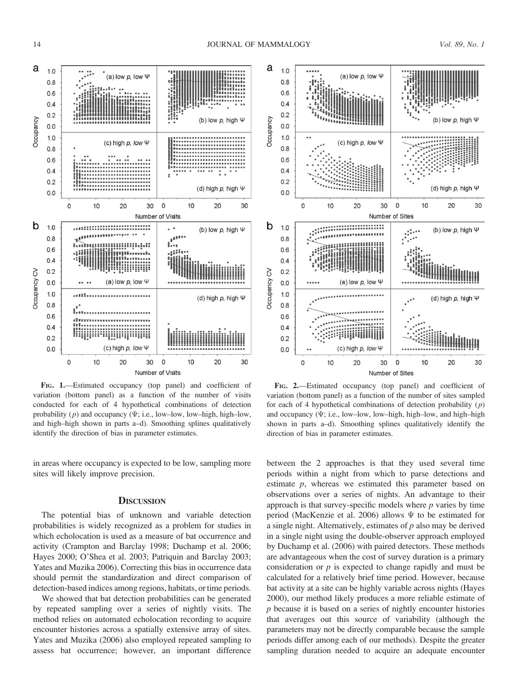

FIG. 1.—Estimated occupancy (top panel) and coefficient of variation (bottom panel) as a function of the number of visits conducted for each of 4 hypothetical combinations of detection probability ( $p$ ) and occupancy ( $\Psi$ ; i.e., low–low, low–high, high–low, and high–high shown in parts a–d). Smoothing splines qualitatively identify the direction of bias in parameter estimates.

in areas where occupancy is expected to be low, sampling more sites will likely improve precision.

#### **DISCUSSION**

The potential bias of unknown and variable detection probabilities is widely recognized as a problem for studies in which echolocation is used as a measure of bat occurrence and activity (Crampton and Barclay 1998; Duchamp et al. 2006; Hayes 2000; O'Shea et al. 2003; Patriquin and Barclay 2003; Yates and Muzika 2006). Correcting this bias in occurrence data should permit the standardization and direct comparison of detection-based indices among regions, habitats, or time periods.

We showed that bat detection probabilities can be generated by repeated sampling over a series of nightly visits. The method relies on automated echolocation recording to acquire encounter histories across a spatially extensive array of sites. Yates and Muzika (2006) also employed repeated sampling to assess bat occurrence; however, an important difference



FIG. 2.—Estimated occupancy (top panel) and coefficient of variation (bottom panel) as a function of the number of sites sampled for each of 4 hypothetical combinations of detection probability  $(p)$ and occupancy ( $\Psi$ ; i.e., low-low, low-high, high-low, and high-high shown in parts a–d). Smoothing splines qualitatively identify the direction of bias in parameter estimates.

between the 2 approaches is that they used several time periods within a night from which to parse detections and estimate  $p$ , whereas we estimated this parameter based on observations over a series of nights. An advantage to their approach is that survey-specific models where  $p$  varies by time period (MacKenzie et al. 2006) allows  $\Psi$  to be estimated for a single night. Alternatively, estimates of  $p$  also may be derived in a single night using the double-observer approach employed by Duchamp et al. (2006) with paired detectors. These methods are advantageous when the cost of survey duration is a primary consideration or  $p$  is expected to change rapidly and must be calculated for a relatively brief time period. However, because bat activity at a site can be highly variable across nights (Hayes 2000), our method likely produces a more reliable estimate of p because it is based on a series of nightly encounter histories that averages out this source of variability (although the parameters may not be directly comparable because the sample periods differ among each of our methods). Despite the greater sampling duration needed to acquire an adequate encounter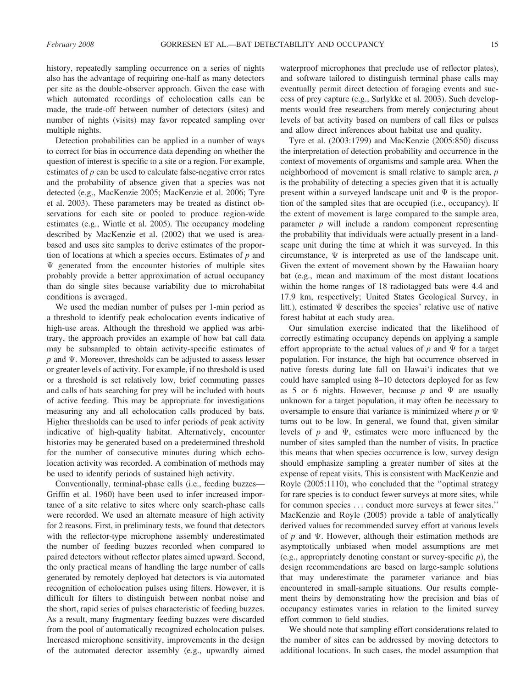history, repeatedly sampling occurrence on a series of nights also has the advantage of requiring one-half as many detectors per site as the double-observer approach. Given the ease with which automated recordings of echolocation calls can be made, the trade-off between number of detectors (sites) and number of nights (visits) may favor repeated sampling over multiple nights.

Detection probabilities can be applied in a number of ways to correct for bias in occurrence data depending on whether the question of interest is specific to a site or a region. For example, estimates of  $p$  can be used to calculate false-negative error rates and the probability of absence given that a species was not detected (e.g., MacKenzie 2005; MacKenzie et al. 2006; Tyre et al. 2003). These parameters may be treated as distinct observations for each site or pooled to produce region-wide estimates (e.g., Wintle et al. 2005). The occupancy modeling described by MacKenzie et al. (2002) that we used is areabased and uses site samples to derive estimates of the proportion of locations at which a species occurs. Estimates of  $p$  and  $\Psi$  generated from the encounter histories of multiple sites probably provide a better approximation of actual occupancy than do single sites because variability due to microhabitat conditions is averaged.

We used the median number of pulses per 1-min period as a threshold to identify peak echolocation events indicative of high-use areas. Although the threshold we applied was arbitrary, the approach provides an example of how bat call data may be subsampled to obtain activity-specific estimates of  $p$  and  $\Psi$ . Moreover, thresholds can be adjusted to assess lesser or greater levels of activity. For example, if no threshold is used or a threshold is set relatively low, brief commuting passes and calls of bats searching for prey will be included with bouts of active feeding. This may be appropriate for investigations measuring any and all echolocation calls produced by bats. Higher thresholds can be used to infer periods of peak activity indicative of high-quality habitat. Alternatively, encounter histories may be generated based on a predetermined threshold for the number of consecutive minutes during which echolocation activity was recorded. A combination of methods may be used to identify periods of sustained high activity.

Conventionally, terminal-phase calls (i.e., feeding buzzes— Griffin et al. 1960) have been used to infer increased importance of a site relative to sites where only search-phase calls were recorded. We used an alternate measure of high activity for 2 reasons. First, in preliminary tests, we found that detectors with the reflector-type microphone assembly underestimated the number of feeding buzzes recorded when compared to paired detectors without reflector plates aimed upward. Second, the only practical means of handling the large number of calls generated by remotely deployed bat detectors is via automated recognition of echolocation pulses using filters. However, it is difficult for filters to distinguish between nonbat noise and the short, rapid series of pulses characteristic of feeding buzzes. As a result, many fragmentary feeding buzzes were discarded from the pool of automatically recognized echolocation pulses. Increased microphone sensitivity, improvements in the design of the automated detector assembly (e.g., upwardly aimed waterproof microphones that preclude use of reflector plates), and software tailored to distinguish terminal phase calls may eventually permit direct detection of foraging events and success of prey capture (e.g., Surlykke et al. 2003). Such developments would free researchers from merely conjecturing about levels of bat activity based on numbers of call files or pulses and allow direct inferences about habitat use and quality.

Tyre et al. (2003:1799) and MacKenzie (2005:850) discuss the interpretation of detection probability and occurrence in the context of movements of organisms and sample area. When the neighborhood of movement is small relative to sample area, p is the probability of detecting a species given that it is actually present within a surveyed landscape unit and  $\Psi$  is the proportion of the sampled sites that are occupied (i.e., occupancy). If the extent of movement is large compared to the sample area, parameter  $p$  will include a random component representing the probability that individuals were actually present in a landscape unit during the time at which it was surveyed. In this circumstance,  $\Psi$  is interpreted as use of the landscape unit. Given the extent of movement shown by the Hawaiian hoary bat (e.g., mean and maximum of the most distant locations within the home ranges of 18 radiotagged bats were 4.4 and 17.9 km, respectively; United States Geological Survey, in litt.), estimated  $\Psi$  describes the species' relative use of native forest habitat at each study area.

Our simulation exercise indicated that the likelihood of correctly estimating occupancy depends on applying a sample effort appropriate to the actual values of p and  $\Psi$  for a target population. For instance, the high bat occurrence observed in native forests during late fall on Hawai'i indicates that we could have sampled using 8–10 detectors deployed for as few as 5 or 6 nights. However, because p and  $\Psi$  are usually unknown for a target population, it may often be necessary to oversample to ensure that variance is minimized where  $p$  or  $\Psi$ turns out to be low. In general, we found that, given similar levels of p and  $\Psi$ , estimates were more influenced by the number of sites sampled than the number of visits. In practice this means that when species occurrence is low, survey design should emphasize sampling a greater number of sites at the expense of repeat visits. This is consistent with MacKenzie and Royle (2005:1110), who concluded that the ''optimal strategy for rare species is to conduct fewer surveys at more sites, while for common species ... conduct more surveys at fewer sites.'' MacKenzie and Royle (2005) provide a table of analytically derived values for recommended survey effort at various levels of  $p$  and  $\Psi$ . However, although their estimation methods are asymptotically unbiased when model assumptions are met (e.g., appropriately denoting constant or survey-specific  $p$ ), the design recommendations are based on large-sample solutions that may underestimate the parameter variance and bias encountered in small-sample situations. Our results complement theirs by demonstrating how the precision and bias of occupancy estimates varies in relation to the limited survey effort common to field studies.

We should note that sampling effort considerations related to the number of sites can be addressed by moving detectors to additional locations. In such cases, the model assumption that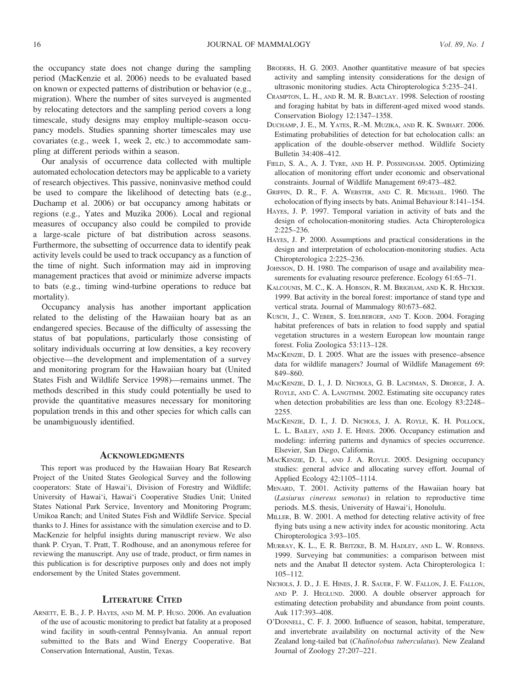the occupancy state does not change during the sampling period (MacKenzie et al. 2006) needs to be evaluated based on known or expected patterns of distribution or behavior (e.g., migration). Where the number of sites surveyed is augmented by relocating detectors and the sampling period covers a long timescale, study designs may employ multiple-season occupancy models. Studies spanning shorter timescales may use covariates (e.g., week 1, week 2, etc.) to accommodate sampling at different periods within a season.

Our analysis of occurrence data collected with multiple automated echolocation detectors may be applicable to a variety of research objectives. This passive, noninvasive method could be used to compare the likelihood of detecting bats (e.g., Duchamp et al. 2006) or bat occupancy among habitats or regions (e.g., Yates and Muzika 2006). Local and regional measures of occupancy also could be compiled to provide a large-scale picture of bat distribution across seasons. Furthermore, the subsetting of occurrence data to identify peak activity levels could be used to track occupancy as a function of the time of night. Such information may aid in improving management practices that avoid or minimize adverse impacts to bats (e.g., timing wind-turbine operations to reduce bat mortality).

Occupancy analysis has another important application related to the delisting of the Hawaiian hoary bat as an endangered species. Because of the difficulty of assessing the status of bat populations, particularly those consisting of solitary individuals occurring at low densities, a key recovery objective—the development and implementation of a survey and monitoring program for the Hawaiian hoary bat (United States Fish and Wildlife Service 1998)—remains unmet. The methods described in this study could potentially be used to provide the quantitative measures necessary for monitoring population trends in this and other species for which calls can be unambiguously identified.

## ACKNOWLEDGMENTS

This report was produced by the Hawaiian Hoary Bat Research Project of the United States Geological Survey and the following cooperators: State of Hawai'i, Division of Forestry and Wildlife; University of Hawai'i, Hawai'i Cooperative Studies Unit; United States National Park Service, Inventory and Monitoring Program; Umikoa Ranch; and United States Fish and Wildlife Service. Special thanks to J. Hines for assistance with the simulation exercise and to D. MacKenzie for helpful insights during manuscript review. We also thank P. Cryan, T. Pratt, T. Rodhouse, and an anonymous referee for reviewing the manuscript. Any use of trade, product, or firm names in this publication is for descriptive purposes only and does not imply endorsement by the United States government.

# LITERATURE CITED

ARNETT, E. B., J. P. HAYES, AND M. M. P. HUSO. 2006. An evaluation of the use of acoustic monitoring to predict bat fatality at a proposed wind facility in south-central Pennsylvania. An annual report submitted to the Bats and Wind Energy Cooperative. Bat Conservation International, Austin, Texas.

- BRODERS, H. G. 2003. Another quantitative measure of bat species activity and sampling intensity considerations for the design of ultrasonic monitoring studies. Acta Chiropterologica 5:235–241.
- CRAMPTON, L. H., AND R. M. R. BARCLAY. 1998. Selection of roosting and foraging habitat by bats in different-aged mixed wood stands. Conservation Biology 12:1347–1358.
- DUCHAMP, J. E., M. YATES, R.-M. MUZIKA, AND R. K. SWIHART. 2006. Estimating probabilities of detection for bat echolocation calls: an application of the double-observer method. Wildlife Society Bulletin 34:408–412.
- FIELD, S. A., A. J. TYRE, AND H. P. POSSINGHAM. 2005. Optimizing allocation of monitoring effort under economic and observational constraints. Journal of Wildlife Management 69:473–482.
- GRIFFIN, D. R., F. A. WEBSTER, AND C. R. MICHAEL. 1960. The echolocation of flying insects by bats. Animal Behaviour 8:141–154.
- HAYES, J. P. 1997. Temporal variation in activity of bats and the design of echolocation-monitoring studies. Acta Chiropterologica 2:225–236.
- HAYES, J. P. 2000. Assumptions and practical considerations in the design and interpretation of echolocation-monitoring studies. Acta Chiropterologica 2:225–236.
- JOHNSON, D. H. 1980. The comparison of usage and availability measurements for evaluating resource preference. Ecology 61:65–71.
- KALCOUNIS, M. C., K. A. HOBSON, R. M. BRIGHAM, AND K. R. HECKER. 1999. Bat activity in the boreal forest: importance of stand type and vertical strata. Journal of Mammalogy 80:673–682.
- KUSCH, J., C. WEBER, S. IDELBERGER, AND T. KOOB. 2004. Foraging habitat preferences of bats in relation to food supply and spatial vegetation structures in a western European low mountain range forest. Folia Zoologica 53:113–128.
- MACKENZIE, D. I. 2005. What are the issues with presence–absence data for wildlife managers? Journal of Wildlife Management 69: 849–860.
- MACKENZIE, D. I., J. D. NICHOLS, G. B. LACHMAN, S. DROEGE, J. A. ROYLE, AND C. A. LANGTIMM. 2002. Estimating site occupancy rates when detection probabilities are less than one. Ecology 83:2248– 2255.
- MACKENZIE, D. I., J. D. NICHOLS, J. A. ROYLE, K. H. POLLOCK, L. L. BAILEY, AND J. E. HINES. 2006. Occupancy estimation and modeling: inferring patterns and dynamics of species occurrence. Elsevier, San Diego, California.
- MACKENZIE, D. I., AND J. A. ROYLE. 2005. Designing occupancy studies: general advice and allocating survey effort. Journal of Applied Ecology 42:1105–1114.
- MENARD, T. 2001. Activity patterns of the Hawaiian hoary bat (Lasiurus cinereus semotus) in relation to reproductive time periods. M.S. thesis, University of Hawai'i, Honolulu.
- MILLER, B. W. 2001. A method for detecting relative activity of free flying bats using a new activity index for acoustic monitoring. Acta Chiropterologica 3:93–105.
- MURRAY, K. L., E. R. BRITZKE, B. M. HADLEY, AND L. W. ROBBINS. 1999. Surveying bat communities: a comparison between mist nets and the Anabat II detector system. Acta Chiropterologica 1: 105–112.
- NICHOLS, J. D., J. E. HINES, J. R. SAUER, F. W. FALLON, J. E. FALLON, AND P. J. HEGLUND. 2000. A double observer approach for estimating detection probability and abundance from point counts. Auk 117:393–408.
- O'DONNELL, C. F. J. 2000. Influence of season, habitat, temperature, and invertebrate availability on nocturnal activity of the New Zealand long-tailed bat (Chalinolobus tuberculatus). New Zealand Journal of Zoology 27:207–221.